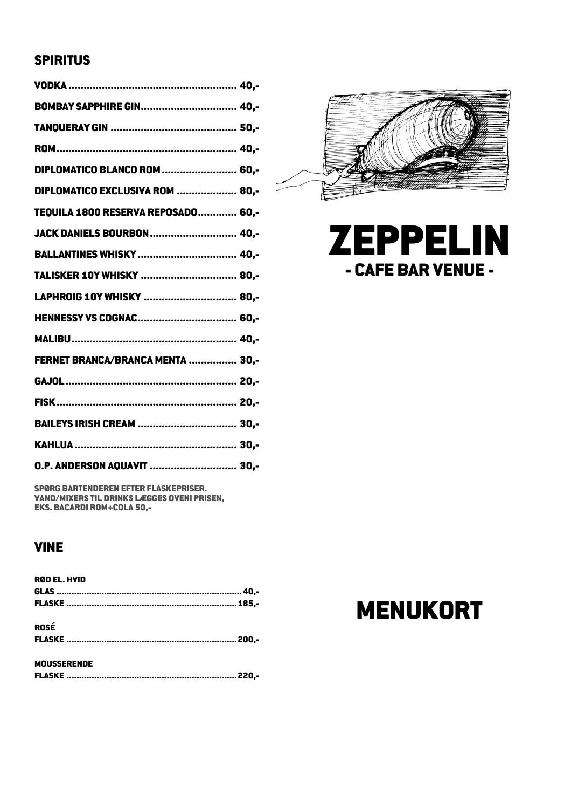## SPIRITUS

| BOMBAY SAPPHIRE GIN 40,-           |  |
|------------------------------------|--|
|                                    |  |
|                                    |  |
| DIPLOMATICO BLANCO ROM  60,-       |  |
| DIPLOMATICO EXCLUSIVA ROM  80,-    |  |
| TEQUILA 1800 RESERVA REPOSADO 60,- |  |
| JACK DANIELS BOURBON 40,-          |  |
| BALLANTINES WHISKY  40,-           |  |
| TALISKER 10Y WHISKY  80,-          |  |
| LAPHROIG 10Y WHISKY  80,-          |  |
| HENNESSY VS COGNAC 60,-            |  |
|                                    |  |
| FERNET BRANCA/BRANCA MENTA  30,-   |  |
|                                    |  |
|                                    |  |
| BAILEYS IRISH CREAM  30,-          |  |
|                                    |  |
| O.P. ANDERSON AQUAVIT  30,-        |  |

SPØRG BARTENDEREN EFTER FLASKEPRISER. VAND/MIXERS TIL DRINKS LÆGGES OVENI PRISEN, EKS. BACARDI ROM+COLA 50,-

# VINE

| <b>RØD EL. HVID</b> |  |
|---------------------|--|
|                     |  |
|                     |  |
| <b>ROSÉ</b>         |  |
|                     |  |
| <b>MOUSSERENDE</b>  |  |
|                     |  |





# MENUKORT